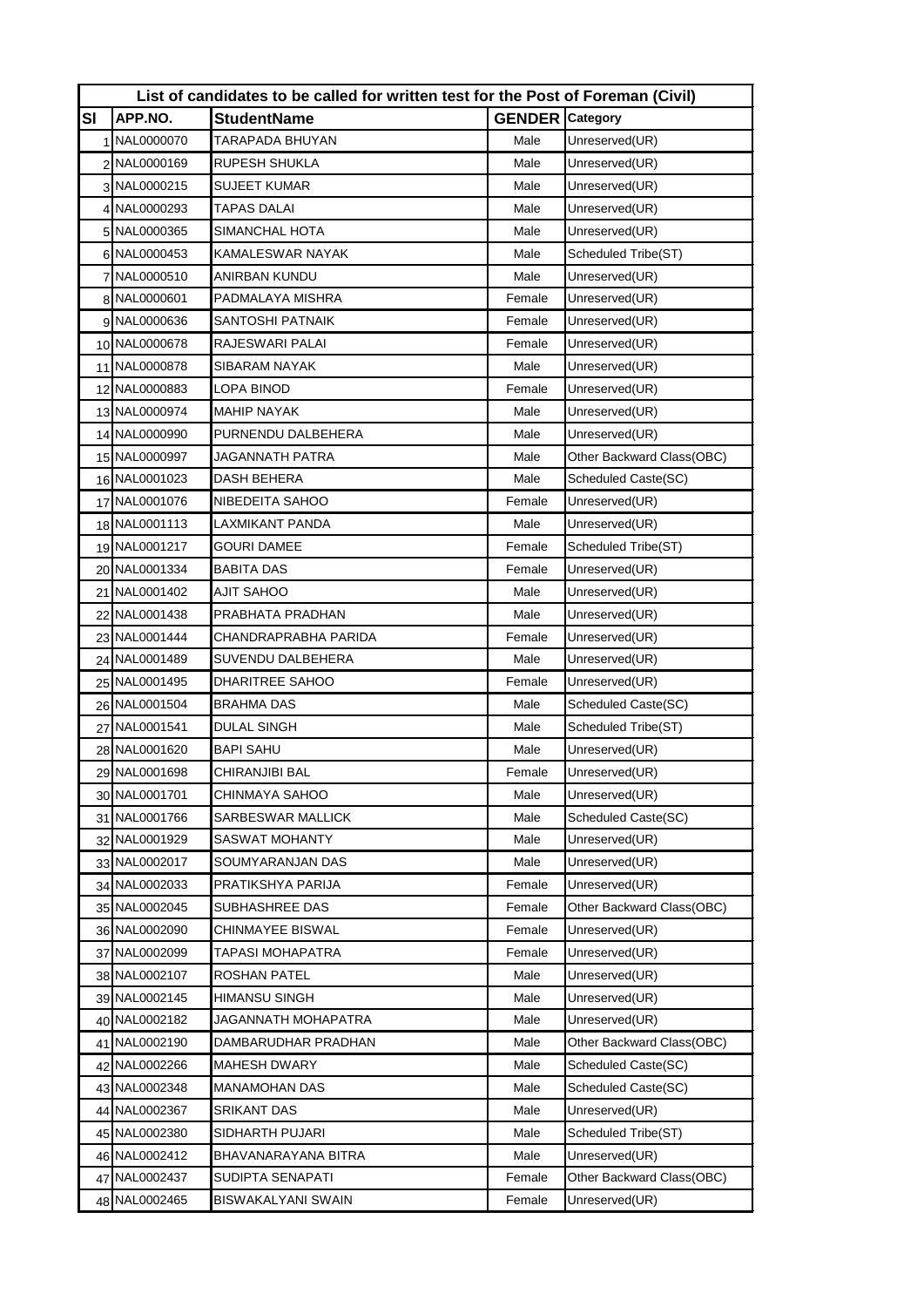| List of candidates to be called for written test for the Post of Foreman (Civil) |               |                       |                        |                           |  |  |  |
|----------------------------------------------------------------------------------|---------------|-----------------------|------------------------|---------------------------|--|--|--|
| SI                                                                               | APP.NO.       | <b>StudentName</b>    | <b>GENDER</b> Category |                           |  |  |  |
|                                                                                  | 1 NAL0000070  | TARAPADA BHUYAN       | Male                   | Unreserved(UR)            |  |  |  |
|                                                                                  | 2 NAL0000169  | RUPESH SHUKLA         | Male                   | Unreserved(UR)            |  |  |  |
|                                                                                  | 3 NAL0000215  | SUJEET KUMAR          | Male                   | Unreserved(UR)            |  |  |  |
|                                                                                  | 4 NAL0000293  | TAPAS DALAI           | Male                   | Unreserved(UR)            |  |  |  |
|                                                                                  | 5 NAL0000365  | SIMANCHAL HOTA        | Male                   | Unreserved(UR)            |  |  |  |
|                                                                                  | 6 NAL0000453  | KAMALESWAR NAYAK      | Male                   | Scheduled Tribe(ST)       |  |  |  |
|                                                                                  | 7 NAL0000510  | ANIRBAN KUNDU         | Male                   | Unreserved(UR)            |  |  |  |
|                                                                                  | 8 NAL0000601  | PADMALAYA MISHRA      | Female                 | Unreserved(UR)            |  |  |  |
|                                                                                  | 9 NAL0000636  | SANTOSHI PATNAIK      | Female                 | Unreserved(UR)            |  |  |  |
|                                                                                  | 10 NAL0000678 | RAJESWARI PALAI       | Female                 | Unreserved(UR)            |  |  |  |
|                                                                                  | 11 NAL0000878 | SIBARAM NAYAK         | Male                   | Unreserved(UR)            |  |  |  |
|                                                                                  | 12 NAL0000883 | LOPA BINOD            | Female                 | Unreserved(UR)            |  |  |  |
|                                                                                  | 13 NAL0000974 | MAHIP NAYAK           | Male                   | Unreserved(UR)            |  |  |  |
|                                                                                  | 14 NAL0000990 | PURNENDU DALBEHERA    | Male                   | Unreserved(UR)            |  |  |  |
|                                                                                  | 15 NAL0000997 | JAGANNATH PATRA       | Male                   | Other Backward Class(OBC) |  |  |  |
|                                                                                  | 16 NAL0001023 | DASH BEHERA           | Male                   | Scheduled Caste(SC)       |  |  |  |
|                                                                                  | 17 NAL0001076 | NIBEDEITA SAHOO       | Female                 | Unreserved(UR)            |  |  |  |
|                                                                                  | 18 NAL0001113 | LAXMIKANT PANDA       | Male                   | Unreserved(UR)            |  |  |  |
|                                                                                  | 19 NAL0001217 | GOURI DAMEE           | Female                 | Scheduled Tribe(ST)       |  |  |  |
|                                                                                  | 20 NAL0001334 | BABITA DAS            | Female                 | Unreserved(UR)            |  |  |  |
|                                                                                  | 21 NAL0001402 | AJIT SAHOO            | Male                   | Unreserved(UR)            |  |  |  |
|                                                                                  | 22 NAL0001438 | PRABHATA PRADHAN      | Male                   | Unreserved(UR)            |  |  |  |
|                                                                                  | 23 NAL0001444 | CHANDRAPRABHA PARIDA  | Female                 | Unreserved(UR)            |  |  |  |
|                                                                                  | 24 NAL0001489 | SUVENDU DALBEHERA     | Male                   | Unreserved(UR)            |  |  |  |
|                                                                                  | 25 NAL0001495 | DHARITREE SAHOO       | Female                 | Unreserved(UR)            |  |  |  |
|                                                                                  | 26 NAL0001504 | BRAHMA DAS            | Male                   | Scheduled Caste(SC)       |  |  |  |
|                                                                                  | 27 NAL0001541 | DULAL SINGH           | Male                   | Scheduled Tribe(ST)       |  |  |  |
|                                                                                  | 28 NAL0001620 | BAPI SAHU             | Male                   | Unreserved(UR)            |  |  |  |
|                                                                                  | 29 NAL0001698 | CHIRANJIBI BAL        | Female                 | Unreserved(UR)            |  |  |  |
|                                                                                  | 30 NAL0001701 | CHINMAYA SAHOO        | Male                   | Unreserved(UR)            |  |  |  |
|                                                                                  | 31 NAL0001766 | SARBESWAR MALLICK     | Male                   | Scheduled Caste(SC)       |  |  |  |
|                                                                                  | 32 NAL0001929 | <b>SASWAT MOHANTY</b> | Male                   | Unreserved(UR)            |  |  |  |
|                                                                                  | 33 NAL0002017 | SOUMYARANJAN DAS      | Male                   | Unreserved(UR)            |  |  |  |
|                                                                                  | 34 NAL0002033 | PRATIKSHYA PARIJA     | Female                 | Unreserved(UR)            |  |  |  |
|                                                                                  | 35 NAL0002045 | SUBHASHREE DAS        | Female                 | Other Backward Class(OBC) |  |  |  |
|                                                                                  | 36 NAL0002090 | CHINMAYEE BISWAL      | Female                 | Unreserved(UR)            |  |  |  |
|                                                                                  | 37 NAL0002099 | TAPASI MOHAPATRA      | Female                 | Unreserved(UR)            |  |  |  |
|                                                                                  | 38 NAL0002107 | ROSHAN PATEL          | Male                   | Unreserved(UR)            |  |  |  |
|                                                                                  | 39 NAL0002145 | HIMANSU SINGH         | Male                   | Unreserved(UR)            |  |  |  |
|                                                                                  | 40 NAL0002182 | JAGANNATH MOHAPATRA   | Male                   | Unreserved(UR)            |  |  |  |
|                                                                                  | 41 NAL0002190 | DAMBARUDHAR PRADHAN   | Male                   | Other Backward Class(OBC) |  |  |  |
|                                                                                  | 42 NAL0002266 | MAHESH DWARY          | Male                   | Scheduled Caste(SC)       |  |  |  |
|                                                                                  | 43 NAL0002348 | MANAMOHAN DAS         | Male                   | Scheduled Caste(SC)       |  |  |  |
|                                                                                  | 44 NAL0002367 | SRIKANT DAS           | Male                   | Unreserved(UR)            |  |  |  |
|                                                                                  | 45 NAL0002380 | SIDHARTH PUJARI       | Male                   | Scheduled Tribe(ST)       |  |  |  |
|                                                                                  | 46 NAL0002412 | BHAVANARAYANA BITRA   | Male                   | Unreserved(UR)            |  |  |  |
|                                                                                  | 47 NAL0002437 | SUDIPTA SENAPATI      | Female                 | Other Backward Class(OBC) |  |  |  |
|                                                                                  | 48 NAL0002465 | BISWAKALYANI SWAIN    | Female                 | Unreserved(UR)            |  |  |  |